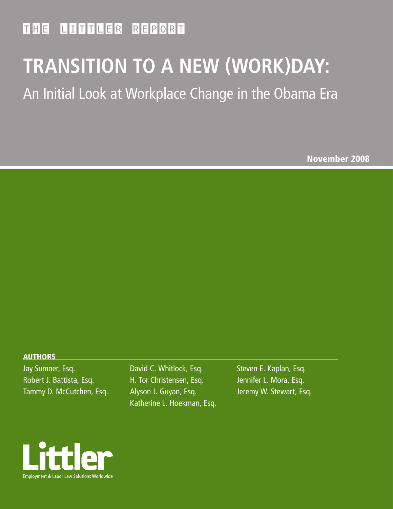### THE LITTLER REPORT

# **TRANSITION TO A NEW (WORK)DAY:**

## An Initial Look at Workplace Change in the Obama Era

November 2008

#### AUTHORS

Jay Sumner, Esq. Robert J. Battista, Esq. Tammy D. McCutchen, Esq. David C. Whitlock, Esq. H. Tor Christensen, Esq. Alyson J. Guyan, Esq. Katherine L. Hoekman, Esq.

Steven E. Kaplan, Esq. Jennifer L. Mora, Esq. Jeremy W. Stewart, Esq.

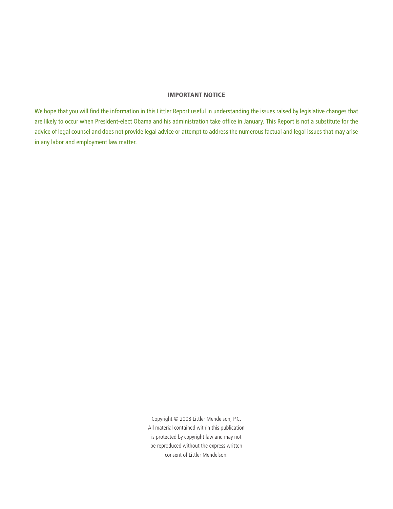#### IMPORTANT NOTICE

We hope that you will find the information in this Littler Report useful in understanding the issues raised by legislative changes that are likely to occur when President-elect Obama and his administration take office in January. This Report is not a substitute for the advice of legal counsel and does not provide legal advice or attempt to address the numerous factual and legal issues that may arise in any labor and employment law matter.

> Copyright © 2008 Littler Mendelson, P.C. All material contained within this publication is protected by copyright law and may not be reproduced without the express written consent of Littler Mendelson.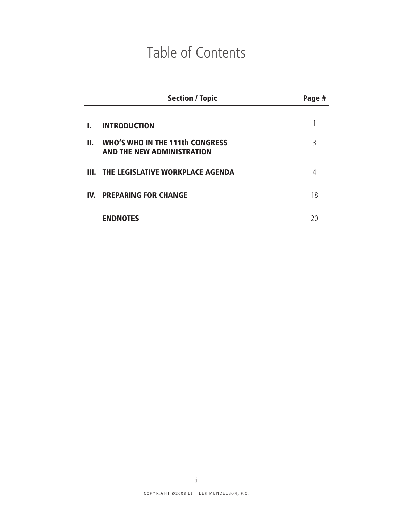## Table of Contents

| <b>Section / Topic</b> | Page #                                                                                                                                                  |
|------------------------|---------------------------------------------------------------------------------------------------------------------------------------------------------|
|                        | 1                                                                                                                                                       |
|                        | 3                                                                                                                                                       |
|                        | $\overline{4}$                                                                                                                                          |
|                        | 18                                                                                                                                                      |
|                        | 20                                                                                                                                                      |
|                        |                                                                                                                                                         |
|                        |                                                                                                                                                         |
|                        | <b>WHO'S WHO IN THE 111th CONGRESS</b><br><b>AND THE NEW ADMINISTRATION</b><br>III. THE LEGISLATIVE WORKPLACE AGENDA<br><b>IV. PREPARING FOR CHANGE</b> |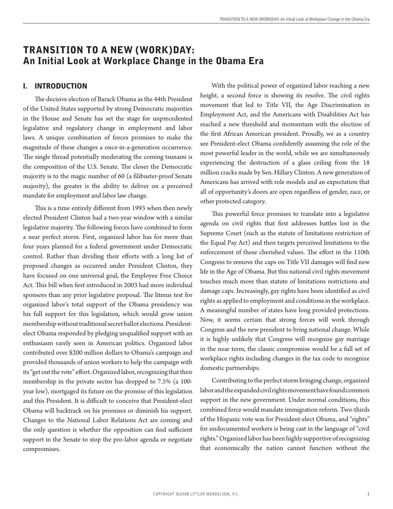### TRANSITION TO A NEW (WORK)DAY: An Initial Look at Workplace Change in the Obama Era

#### I. INTRODUCTION

The decisive election of Barack Obama as the 44th President of the United States supported by strong Democratic majorities in the House and Senate has set the stage for unprecedented legislative and regulatory change in employment and labor laws. A unique combination of forces promises to make the magnitude of these changes a once-in-a-generation occurrence. The single thread potentially moderating the coming tsunami is the composition of the U.S. Senate. The closer the Democratic majority is to the magic number of 60 (a filibuster-proof Senate majority), the greater is the ability to deliver on a perceived mandate for employment and labor law change.

This is a time entirely different from 1993 when then newly elected President Clinton had a two-year window with a similar legislative majority. The following forces have combined to form a near perfect storm. First, organized labor has for more than four years planned for a federal government under Democratic control. Rather than dividing their efforts with a long list of proposed changes as occurred under President Clinton, they have focused on one universal goal, the Employee Free Choice Act. This bill when first introduced in 2003 had more individual sponsors than any prior legislative proposal. The litmus test for organized labor's total support of the Obama presidency was his full support for this legislation, which would grow union membership without traditional secret ballot elections. Presidentelect Obama responded by pledging unqualified support with an enthusiasm rarely seen in American politics. Organized labor contributed over \$200 million dollars to Obama's campaign and provided thousands of union workers to help the campaign with its "get out the vote" effort. Organized labor, recognizing that their membership in the private sector has dropped to 7.5% (a 100 year low), mortgaged its future on the promise of this legislation and this President. It is difficult to conceive that President-elect Obama will backtrack on his promises or diminish his support. Changes to the National Labor Relations Act are coming and the only question is whether the opposition can find sufficient support in the Senate to stop the pro-labor agenda or negotiate compromises.

With the political power of organized labor reaching a new height, a second force is showing its resolve. The civil rights movement that led to Title VII, the Age Discrimination in Employment Act, and the Americans with Disabilities Act has reached a new threshold and momentum with the election of the first African American president. Proudly, we as a country see President-elect Obama confidently assuming the role of the most powerful leader in the world, while we are simultaneously experiencing the destruction of a glass ceiling from the 18 million cracks made by Sen. Hillary Clinton. A new generation of Americans has arrived with role models and an expectation that all of opportunity's doors are open regardless of gender, race, or other protected category.

This powerful force promises to translate into a legislative agenda on civil rights that first addresses battles lost in the Supreme Court (such as the statute of limitations restriction of the Equal Pay Act) and then targets perceived limitations to the enforcement of these cherished values. The effort in the 110th Congress to remove the caps on Title VII damages will find new life in the Age of Obama. But this national civil rights movement touches much more than statute of limitations restrictions and damage caps. Increasingly, gay rights have been identified as civil rights as applied to employment and conditions in the workplace. A meaningful number of states have long provided protections. Now, it seems certain that strong forces will work through Congress and the new president to bring national change. While it is highly unlikely that Congress will recognize gay marriage in the near term, the classic compromise would be a full set of workplace rights including changes in the tax code to recognize domestic partnerships.

Contributing to the perfect storm bringing change, organized labor and the expanded civil rights movement have found common support in the new government. Under normal conditions, this combined force would mandate immigration reform. Two-thirds of the Hispanic vote was for President-elect Obama, and "rights" for undocumented workers is being cast in the language of "civil rights." Organized labor has been highly supportive of recognizing that economically the nation cannot function without the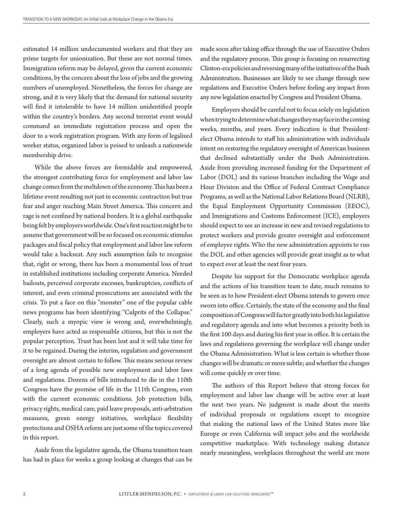estimated 14 million undocumented workers and that they are prime targets for unionization. But these are not normal times. Immigration reform may be delayed, given the current economic conditions, by the concern about the loss of jobs and the growing numbers of unemployed. Nonetheless, the forces for change are strong, and it is very likely that the demand for national security will find it intolerable to have 14 million unidentified people within the country's borders. Any second terrorist event would command an immediate registration process and open the door to a work registration program. With any form of legalized worker status, organized labor is poised to unleash a nationwide membership drive.

While the above forces are formidable and empowered, the strongest contributing force for employment and labor law change comes from the meltdown of the economy. This has been a lifetime event resulting not just in economic contraction but true fear and anger reaching Main Street America. This concern and rage is not confined by national borders. It is a global earthquake being felt by employers worldwide. One's first reaction might be to assume that government will be so focused on economic stimulus packages and fiscal policy that employment and labor law reform would take a backseat. Any such assumption fails to recognize that, right or wrong, there has been a monumental loss of trust in established institutions including corporate America. Needed bailouts, perceived corporate excesses, bankruptcies, conflicts of interest, and even criminal prosecutions are associated with the crisis. To put a face on this "monster" one of the popular cable news programs has been identifying "Culprits of the Collapse." Clearly, such a myopic view is wrong and, overwhelmingly, employers have acted as responsible citizens, but this is not the popular perception. Trust has been lost and it will take time for it to be regained. During the interim, regulation and government oversight are almost certain to follow. This means serious review of a long agenda of possible new employment and labor laws and regulations. Dozens of bills introduced to die in the 110th Congress have the promise of life in the 111th Congress, even with the current economic conditions. Job protection bills, privacy rights, medical care, paid leave proposals, anti-arbitration measures, green energy initiatives, workplace flexibility protections and OSHA reform are just some of the topics covered in this report.

Aside from the legislative agenda, the Obama transition team has had in place for weeks a group looking at changes that can be made soon after taking office through the use of Executive Orders and the regulatory process. This group is focusing on resurrecting Clinton-era policies and reversing many of the initiatives of the Bush Administration. Businesses are likely to see change through new regulations and Executive Orders before feeling any impact from any new legislation enacted by Congress and President Obama.

Employers should be careful not to focus solely on legislation when trying to determine what changes they may face in the coming weeks, months, and years. Every indication is that Presidentelect Obama intends to staff his administration with individuals intent on restoring the regulatory oversight of American business that declined substantially under the Bush Administration. Aside from providing increased funding for the Department of Labor (DOL) and its various branches including the Wage and Hour Division and the Office of Federal Contract Compliance Programs, as well as the National Labor Relations Board (NLRB), the Equal Employment Opportunity Commission (EEOC), and Immigrations and Customs Enforcement (ICE), employers should expect to see an increase in new and revised regulations to protect workers and provide greater oversight and enforcement of employee rights. Who the new administration appoints to run the DOL and other agencies will provide great insight as to what to expect over at least the next four years.

Despite his support for the Democratic workplace agenda and the actions of his transition team to date, much remains to be seen as to how President-elect Obama intends to govern once sworn into office. Certainly, the state of the economy and the final composition of Congress will factor greatly into both his legislative and regulatory agenda and into what becomes a priority both in the first 100 days and during his first year in office. It is certain the laws and regulations governing the workplace will change under the Obama Administration. What is less certain is whether those changes will be dramatic or more subtle; and whether the changes will come quickly or over time.

The authors of this Report believe that strong forces for employment and labor law change will be active over at least the next two years. No judgment is made about the merits of individual proposals or regulations except to recognize that making the national laws of the United States more like Europe or even California will impact jobs and the worldwide competitive marketplace. With technology making distance nearly meaningless, workplaces throughout the world are more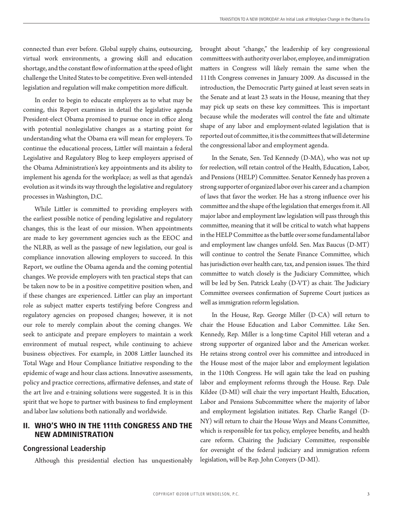connected than ever before. Global supply chains, outsourcing, virtual work environments, a growing skill and education shortage, and the constant flow of information at the speed of light challenge the United States to be competitive. Even well-intended legislation and regulation will make competition more difficult.

In order to begin to educate employers as to what may be coming, this Report examines in detail the legislative agenda President-elect Obama promised to pursue once in office along with potential nonlegislative changes as a starting point for understanding what the Obama era will mean for employers. To continue the educational process, Littler will maintain a federal Legislative and Regulatory Blog to keep employers apprised of the Obama Administration's key appointments and its ability to implement his agenda for the workplace; as well as that agenda's evolution as it winds its way through the legislative and regulatory processes in Washington, D.C.

While Littler is committed to providing employers with the earliest possible notice of pending legislative and regulatory changes, this is the least of our mission. When appointments are made to key government agencies such as the EEOC and the NLRB, as well as the passage of new legislation, our goal is compliance innovation allowing employers to succeed. In this Report, we outline the Obama agenda and the coming potential changes. We provide employers with ten practical steps that can be taken now to be in a positive competitive position when, and if these changes are experienced. Littler can play an important role as subject matter experts testifying before Congress and regulatory agencies on proposed changes; however, it is not our role to merely complain about the coming changes. We seek to anticipate and prepare employers to maintain a work environment of mutual respect, while continuing to achieve business objectives. For example, in 2008 Littler launched its Total Wage and Hour Compliance Initiative responding to the epidemic of wage and hour class actions. Innovative assessments, policy and practice corrections, affirmative defenses, and state of the art live and e-training solutions were suggested. It is in this spirit that we hope to partner with business to find employment and labor law solutions both nationally and worldwide.

#### II. WHO'S WHO IN THE 111th CONGRESS AND THE NEW ADMINISTRATION

#### **Congressional Leadership**

Although this presidential election has unquestionably

brought about "change," the leadership of key congressional committees with authority over labor, employee, and immigration matters in Congress will likely remain the same when the 111th Congress convenes in January 2009. As discussed in the introduction, the Democratic Party gained at least seven seats in the Senate and at least 23 seats in the House, meaning that they may pick up seats on these key committees. This is important because while the moderates will control the fate and ultimate shape of any labor and employment-related legislation that is reported out of committee, it is the committees that will determine the congressional labor and employment agenda.

In the Senate, Sen. Ted Kennedy (D-MA), who was not up for reelection, will retain control of the Health, Education, Labor, and Pensions (HELP) Committee. Senator Kennedy has proven a strong supporter of organized labor over his career and a champion of laws that favor the worker. He has a strong influence over his committee and the shape of the legislation that emerges from it. All major labor and employment law legislation will pass through this committee, meaning that it will be critical to watch what happens in the HELP Committee as the battle over some fundamental labor and employment law changes unfold. Sen. Max Baucus (D-MT) will continue to control the Senate Finance Committee, which has jurisdiction over health care, tax, and pension issues. The third committee to watch closely is the Judiciary Committee, which will be led by Sen. Patrick Leahy (D-VT) as chair. The Judiciary Committee oversees confirmation of Supreme Court justices as well as immigration reform legislation.

In the House, Rep. George Miller (D-CA) will return to chair the House Education and Labor Committee. Like Sen. Kennedy, Rep. Miller is a long-time Capitol Hill veteran and a strong supporter of organized labor and the American worker. He retains strong control over his committee and introduced in the House most of the major labor and employment legislation in the 110th Congress. He will again take the lead on pushing labor and employment reforms through the House. Rep. Dale Kildee (D-MI) will chair the very important Health, Education, Labor and Pensions Subcommittee where the majority of labor and employment legislation initiates. Rep. Charlie Rangel (D-NY) will return to chair the House Ways and Means Committee, which is responsible for tax policy, employee benefits, and health care reform. Chairing the Judiciary Committee, responsible for oversight of the federal judiciary and immigration reform legislation, will be Rep. John Conyers (D-MI).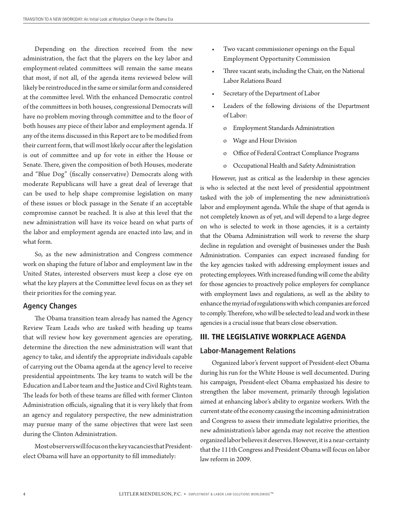Depending on the direction received from the new administration, the fact that the players on the key labor and employment-related committees will remain the same means that most, if not all, of the agenda items reviewed below will likely be reintroduced in the same or similar form and considered at the committee level. With the enhanced Democratic control of the committees in both houses, congressional Democrats will have no problem moving through committee and to the floor of both houses any piece of their labor and employment agenda. If any of the items discussed in this Report are to be modified from their current form, that will most likely occur after the legislation is out of committee and up for vote in either the House or Senate. There, given the composition of both Houses, moderate and "Blue Dog" (fiscally conservative) Democrats along with moderate Republicans will have a great deal of leverage that can be used to help shape compromise legislation on many of these issues or block passage in the Senate if an acceptable compromise cannot be reached. It is also at this level that the new administration will have its voice heard on what parts of the labor and employment agenda are enacted into law, and in what form.

So, as the new administration and Congress commence work on shaping the future of labor and employment law in the United States, interested observers must keep a close eye on what the key players at the Committee level focus on as they set their priorities for the coming year.

#### **Agency Changes**

The Obama transition team already has named the Agency Review Team Leads who are tasked with heading up teams that will review how key government agencies are operating, determine the direction the new administration will want that agency to take, and identify the appropriate individuals capable of carrying out the Obama agenda at the agency level to receive presidential appointments. The key teams to watch will be the Education and Labor team and the Justice and Civil Rights team. The leads for both of these teams are filled with former Clinton Administration officials, signaling that it is very likely that from an agency and regulatory perspective, the new administration may pursue many of the same objectives that were last seen during the Clinton Administration.

Most observers will focus on the key vacancies that Presidentelect Obama will have an opportunity to fill immediately:

- Two vacant commissioner openings on the Equal Employment Opportunity Commission
- Three vacant seats, including the Chair, on the National Labor Relations Board
- Secretary of the Department of Labor
- Leaders of the following divisions of the Department of Labor:
	- o Employment Standards Administration
	- o Wage and Hour Division
	- o Office of Federal Contract Compliance Programs
	- o Occupational Health and Safety Administration

However, just as critical as the leadership in these agencies is who is selected at the next level of presidential appointment tasked with the job of implementing the new administration's labor and employment agenda. While the shape of that agenda is not completely known as of yet, and will depend to a large degree on who is selected to work in those agencies, it is a certainty that the Obama Administration will work to reverse the sharp decline in regulation and oversight of businesses under the Bush Administration. Companies can expect increased funding for the key agencies tasked with addressing employment issues and protecting employees. With increased funding will come the ability for those agencies to proactively police employers for compliance with employment laws and regulations, as well as the ability to enhance the myriad of regulations with which companies are forced to comply. Therefore, who will be selected to lead and work in these agencies is a crucial issue that bears close observation.

#### III. THE LEGISLATIVE WORKPLACE AGENDA

#### **Labor-Management Relations**

Organized labor's fervent support of President-elect Obama during his run for the White House is well documented. During his campaign, President-elect Obama emphasized his desire to strengthen the labor movement, primarily through legislation aimed at enhancing labor's ability to organize workers. With the current state of the economy causing the incoming administration and Congress to assess their immediate legislative priorities, the new administration's labor agenda may not receive the attention organized labor believes it deserves. However, it is a near-certainty that the 111th Congress and President Obama will focus on labor law reform in 2009.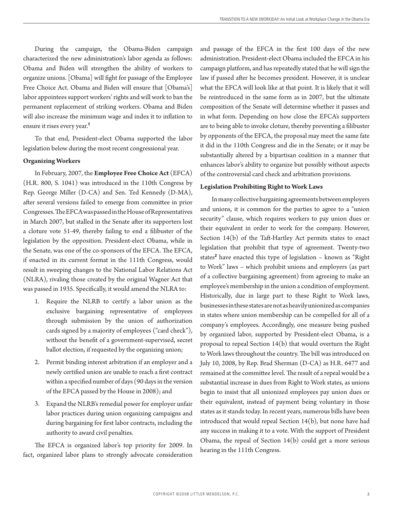During the campaign, the Obama-Biden campaign characterized the new administration's labor agenda as follows: Obama and Biden will strengthen the ability of workers to organize unions. [Obama] will fight for passage of the Employee Free Choice Act. Obama and Biden will ensure that [Obama's] labor appointees support workers' rights and will work to ban the permanent replacement of striking workers. Obama and Biden will also increase the minimum wage and index it to inflation to ensure it rises every year.<sup>1</sup>

To that end, President-elect Obama supported the labor legislation below during the most recent congressional year.

#### **Organizing Workers**

In February, 2007, the **Employee Free Choice Act** (EFCA) (H.R. 800, S. 1041) was introduced in the 110th Congress by Rep. George Miller (D-CA) and Sen. Ted Kennedy (D-MA), after several versions failed to emerge from committee in prior Congresses. The EFCA was passed in the House of Representatives in March 2007, but stalled in the Senate after its supporters lost a cloture vote 51-49, thereby failing to end a filibuster of the legislation by the opposition. President-elect Obama, while in the Senate, was one of the co-sponsors of the EFCA. The EFCA, if enacted in its current format in the 111th Congress, would result in sweeping changes to the National Labor Relations Act (NLRA), rivaling those created by the original Wagner Act that was passed in 1935. Specifically, it would amend the NLRA to:

- 1. Require the NLRB to certify a labor union as the exclusive bargaining representative of employees through submission by the union of authorization cards signed by a majority of employees ("card check"), without the benefit of a government-supervised, secret ballot election, if requested by the organizing union;
- Permit binding interest arbitration if an employer and a 2. newly certified union are unable to reach a first contract within a specified number of days (90 days in the version of the EFCA passed by the House in 2008); and
- Expand the NLRB's remedial power for employer unfair 3. labor practices during union organizing campaigns and during bargaining for first labor contracts, including the authority to award civil penalties.

The EFCA is organized labor's top priority for 2009. In fact, organized labor plans to strongly advocate consideration and passage of the EFCA in the first 100 days of the new administration. President-elect Obama included the EFCA in his campaign platform, and has repeatedly stated that he will sign the law if passed after he becomes president. However, it is unclear what the EFCA will look like at that point. It is likely that it will be reintroduced in the same form as in 2007, but the ultimate composition of the Senate will determine whether it passes and in what form. Depending on how close the EFCA's supporters are to being able to invoke cloture, thereby preventing a filibuster by opponents of the EFCA, the proposal may meet the same fate it did in the 110th Congress and die in the Senate; or it may be substantially altered by a bipartisan coalition in a manner that enhances labor's ability to organize but possibly without aspects of the controversial card check and arbitration provisions.

#### **Legislation Prohibiting Right to Work Laws**

In many collective bargaining agreements between employers and unions, it is common for the parties to agree to a "union security" clause, which requires workers to pay union dues or their equivalent in order to work for the company. However, Section 14(b) of the Taft-Hartley Act permits states to enact legislation that prohibit that type of agreement. Twenty-two states<sup>2</sup> have enacted this type of legislation – known as "Right to Work" laws – which prohibit unions and employers (as part of a collective bargaining agreement) from agreeing to make an employee's membership in the union a condition of employment. Historically, due in large part to these Right to Work laws, businesses in these states are not as heavily unionized as companies in states where union membership can be compelled for all of a company's employees. Accordingly, one measure being pushed by organized labor, supported by President-elect Obama, is a proposal to repeal Section 14(b) that would overturn the Right to Work laws throughout the country. The bill was introduced on July 10, 2008, by Rep. Brad Sherman (D-CA) as H.R. 6477 and remained at the committee level. The result of a repeal would be a substantial increase in dues from Right to Work states, as unions begin to insist that all unionized employees pay union dues or their equivalent, instead of payment being voluntary in those states as it stands today. In recent years, numerous bills have been introduced that would repeal Section 14(b), but none have had any success in making it to a vote. With the support of President Obama, the repeal of Section  $14(b)$  could get a more serious hearing in the 111th Congress.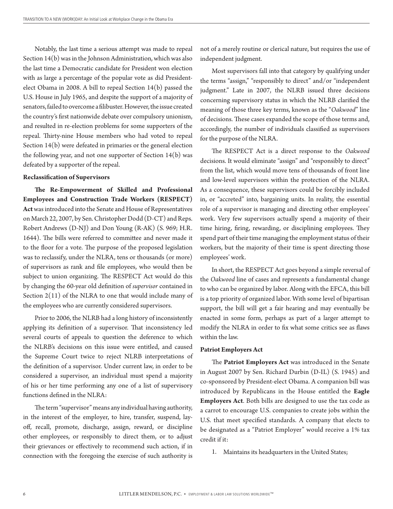Notably, the last time a serious attempt was made to repeal Section 14(b) was in the Johnson Administration, which was also the last time a Democratic candidate for President won election with as large a percentage of the popular vote as did Presidentelect Obama in 2008. A bill to repeal Section 14(b) passed the U.S. House in July 1965, and despite the support of a majority of senators, failed to overcome a filibuster. However, the issue created the country's first nationwide debate over compulsory unionism, and resulted in re-election problems for some supporters of the repeal. Thirty-nine House members who had voted to repeal Section 14(b) were defeated in primaries or the general election the following year, and not one supporter of Section 14(b) was defeated by a supporter of the repeal.

#### **Reclassification of Supervisors**

**The Re-Empowerment of Skilled and Professional Employees and Construction Trade Workers (RESPECT) Act** was introduced into the Senate and House of Representatives on March 22, 2007, by Sen. Christopher Dodd (D-CT) and Reps. Robert Andrews (D-NJ) and Don Young (R-AK) (S. 969; H.R. 1644). The bills were referred to committee and never made it to the floor for a vote. The purpose of the proposed legislation was to reclassify, under the NLRA, tens or thousands (or more) of supervisors as rank and file employees, who would then be subject to union organizing. The RESPECT Act would do this by changing the 60-year old definition of *supervisor* contained in Section  $2(11)$  of the NLRA to one that would include many of the employees who are currently considered supervisors.

Prior to 2006, the NLRB had a long history of inconsistently applying its definition of a supervisor. That inconsistency led several courts of appeals to question the deference to which the NLRB's decisions on this issue were entitled, and caused the Supreme Court twice to reject NLRB interpretations of the definition of a supervisor. Under current law, in order to be considered a supervisor, an individual must spend a majority of his or her time performing any one of a list of supervisory functions defined in the NLRA:

The term "supervisor" means any individual having authority, in the interest of the employer, to hire, transfer, suspend, layoff, recall, promote, discharge, assign, reward, or discipline other employees, or responsibly to direct them, or to adjust their grievances or effectively to recommend such action, if in connection with the foregoing the exercise of such authority is not of a merely routine or clerical nature, but requires the use of independent judgment.

Most supervisors fall into that category by qualifying under the terms "assign," "responsibly to direct" and/or "independent judgment." Late in 2007, the NLRB issued three decisions concerning supervisory status in which the NLRB clarified the meaning of those three key terms, known as the "*Oakwood*" line of decisions. These cases expanded the scope of those terms and, accordingly, the number of individuals classified as supervisors for the purpose of the NLRA.

The RESPECT Act is a direct response to the *Oakwood* decisions. It would eliminate "assign" and "responsibly to direct" from the list, which would move tens of thousands of front line and low-level supervisors within the protection of the NLRA. As a consequence, these supervisors could be forcibly included in, or "accreted" into, bargaining units. In reality, the essential role of a supervisor is managing and directing other employees' work. Very few supervisors actually spend a majority of their time hiring, firing, rewarding, or disciplining employees. They spend part of their time managing the employment status of their workers, but the majority of their time is spent directing those employees' work.

In short, the RESPECT Act goes beyond a simple reversal of the *Oakwood* line of cases and represents a fundamental change to who can be organized by labor. Along with the EFCA, this bill is a top priority of organized labor. With some level of bipartisan support, the bill will get a fair hearing and may eventually be enacted in some form, perhaps as part of a larger attempt to modify the NLRA in order to fix what some critics see as flaws within the law.

#### **Patriot Employers Act**

The **Patriot Employers Act** was introduced in the Senate in August 2007 by Sen. Richard Durbin (D-IL) (S. 1945) and co-sponsored by President-elect Obama. A companion bill was introduced by Republicans in the House entitled the **Eagle Employers Act**. Both bills are designed to use the tax code as a carrot to encourage U.S. companies to create jobs within the U.S. that meet specified standards. A company that elects to be designated as a "Patriot Employer" would receive a 1% tax credit if it:

. Maintains its headquarters in the United States;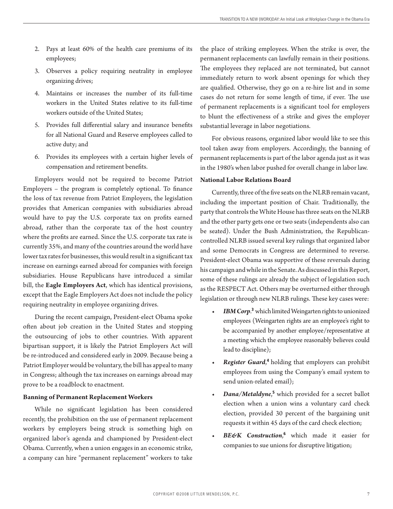- Pays at least 60% of the health care premiums of its 2. employees;
- Observes a policy requiring neutrality in employee 3. organizing drives;
- Maintains or increases the number of its full-time 4. workers in the United States relative to its full-time workers outside of the United States;
- Provides full differential salary and insurance benefits 5. for all National Guard and Reserve employees called to active duty; and
- 6. Provides its employees with a certain higher levels of compensation and retirement benefits.

Employers would not be required to become Patriot Employers – the program is completely optional. To finance the loss of tax revenue from Patriot Employers, the legislation provides that American companies with subsidiaries abroad would have to pay the U.S. corporate tax on profits earned abroad, rather than the corporate tax of the host country where the profits are earned. Since the U.S. corporate tax rate is currently 35%, and many of the countries around the world have lower tax rates for businesses, this would result in a significant tax increase on earnings earned abroad for companies with foreign subsidiaries. House Republicans have introduced a similar bill, the **Eagle Employers Act**, which has identical provisions, except that the Eagle Employers Act does not include the policy requiring neutrality in employee organizing drives.

During the recent campaign, President-elect Obama spoke often about job creation in the United States and stopping the outsourcing of jobs to other countries. With apparent bipartisan support, it is likely the Patriot Employers Act will be re-introduced and considered early in 2009. Because being a Patriot Employer would be voluntary, the bill has appeal to many in Congress; although the tax increases on earnings abroad may prove to be a roadblock to enactment.

#### **Banning of Permanent Replacement Workers**

While no significant legislation has been considered recently, the prohibition on the use of permanent replacement workers by employers being struck is something high on organized labor's agenda and championed by President-elect Obama. Currently, when a union engages in an economic strike, a company can hire "permanent replacement" workers to take

the place of striking employees. When the strike is over, the permanent replacements can lawfully remain in their positions. The employees they replaced are not terminated, but cannot immediately return to work absent openings for which they are qualified. Otherwise, they go on a re-hire list and in some cases do not return for some length of time, if ever. The use of permanent replacements is a significant tool for employers to blunt the effectiveness of a strike and gives the employer substantial leverage in labor negotiations.

For obvious reasons, organized labor would like to see this tool taken away from employers. Accordingly, the banning of permanent replacements is part of the labor agenda just as it was in the 1980's when labor pushed for overall change in labor law.

#### **National Labor Relations Board**

Currently, three of the five seats on the NLRB remain vacant, including the important position of Chair. Traditionally, the party that controls the White House has three seats on the NLRB and the other party gets one or two seats (independents also can be seated). Under the Bush Administration, the Republicancontrolled NLRB issued several key rulings that organized labor and some Democrats in Congress are determined to reverse. President-elect Obama was supportive of these reversals during his campaign and while in the Senate. As discussed in this Report, some of these rulings are already the subject of legislation such as the RESPECT Act. Others may be overturned either through legislation or through new NLRB rulings. These key cases were:

- IBM Corp.<sup>3</sup> which limited Weingarten rights to unionized employees (Weingarten rights are an employee's right to be accompanied by another employee/representative at a meeting which the employee reasonably believes could lead to discipline); *•*
- *Register Guard*, <sup>4</sup>holding that employers can prohibit employees from using the Company's email system to send union-related email); *•*
- *Dana/Metaldyne*, 5 which provided for a secret ballot election when a union wins a voluntary card check election, provided 30 percent of the bargaining unit requests it within 45 days of the card check election; *•*
- *BE&K Construction*, 6 which made it easier for companies to sue unions for disruptive litigation; *•*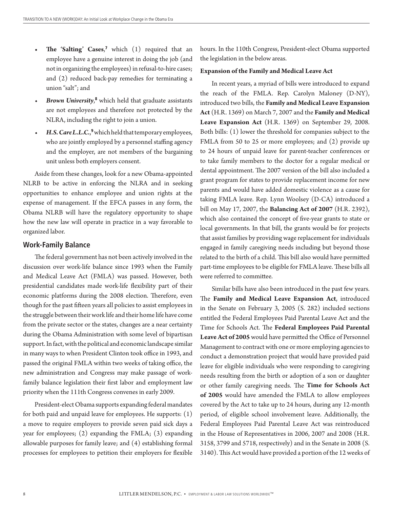- **The 'Salting' Cases**, 7 which (1) required that an employee have a genuine interest in doing the job (and not in organizing the employees) in refusal-to-hire cases; and (2) reduced back-pay remedies for terminating a union "salt"; and **•**
- Brown University,<sup>8</sup> which held that graduate assistants are not employees and therefore not protected by the NLRA, including the right to join a union. *•*
- H.S. Care L.L.C.,<sup>9</sup> which held that temporary employees, who are jointly employed by a personnel staffing agency and the employer, are not members of the bargaining unit unless both employers consent. *•*

Aside from these changes, look for a new Obama-appointed NLRB to be active in enforcing the NLRA and in seeking opportunities to enhance employee and union rights at the expense of management. If the EFCA passes in any form, the Obama NLRB will have the regulatory opportunity to shape how the new law will operate in practice in a way favorable to organized labor.

#### **Work-Family Balance**

The federal government has not been actively involved in the discussion over work-life balance since 1993 when the Family and Medical Leave Act (FMLA) was passed. However, both presidential candidates made work-life flexibility part of their economic platforms during the 2008 election. Therefore, even though for the past fifteen years all policies to assist employees in the struggle between their work life and their home life have come from the private sector or the states, changes are a near certainty during the Obama Administration with some level of bipartisan support. In fact, with the political and economic landscape similar in many ways to when President Clinton took office in 1993, and passed the original FMLA within two weeks of taking office, the new administration and Congress may make passage of workfamily balance legislation their first labor and employment law priority when the 111th Congress convenes in early 2009.

President-elect Obama supports expanding federal mandates for both paid and unpaid leave for employees. He supports: (1) a move to require employers to provide seven paid sick days a year for employees; (2) expanding the FMLA; (3) expanding allowable purposes for family leave; and (4) establishing formal processes for employees to petition their employers for flexible hours. In the 110th Congress, President-elect Obama supported the legislation in the below areas.

#### **Expansion of the Family and Medical Leave Act**

In recent years, a myriad of bills were introduced to expand the reach of the FMLA. Rep. Carolyn Maloney (D-NY), introduced two bills, the **Family and Medical Leave Expansion Act** (H.R. 1369) on March 7, 2007 and the **Family and Medical Leave Expansion Act** (H.R. 1369) on September 29, 2008. Both bills: (1) lower the threshold for companies subject to the FMLA from 50 to 25 or more employees; and (2) provide up to 24 hours of unpaid leave for parent-teacher conferences or to take family members to the doctor for a regular medical or dental appointment. The 2007 version of the bill also included a grant program for states to provide replacement income for new parents and would have added domestic violence as a cause for taking FMLA leave. Rep. Lynn Woolsey (D-CA) introduced a bill on May 17, 2007, the **Balancing Act of 2007** (H.R. 2392), which also contained the concept of five-year grants to state or local governments. In that bill, the grants would be for projects that assist families by providing wage replacement for individuals engaged in family caregiving needs including but beyond those related to the birth of a child. This bill also would have permitted part-time employees to be eligible for FMLA leave. These bills all were referred to committee.

Similar bills have also been introduced in the past few years. The **Family and Medical Leave Expansion Act**, introduced in the Senate on February 3, 2005 (S. 282) included sections entitled the Federal Employees Paid Parental Leave Act and the Time for Schools Act. The **Federal Employees Paid Parental Leave Act of 2005** would have permitted the Office of Personnel Management to contract with one or more employing agencies to conduct a demonstration project that would have provided paid leave for eligible individuals who were responding to caregiving needs resulting from the birth or adoption of a son or daughter or other family caregiving needs. The **Time for Schools Act of 2005** would have amended the FMLA to allow employees covered by the Act to take up to 24 hours, during any 12-month period, of eligible school involvement leave. Additionally, the Federal Employees Paid Parental Leave Act was reintroduced in the House of Representatives in 2006, 2007 and 2008 (H.R. 3158, 3799 and 5718, respectively) and in the Senate in 2008 (S. 3140). This Act would have provided a portion of the 12 weeks of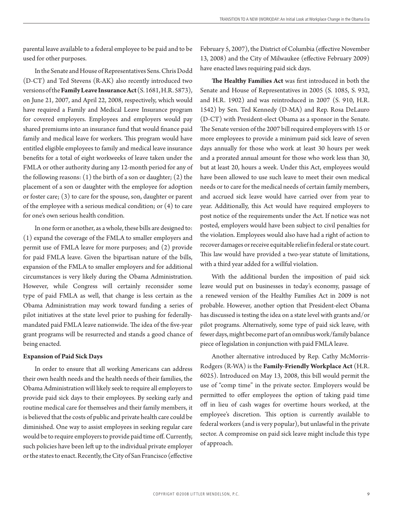parental leave available to a federal employee to be paid and to be used for other purposes.

In the Senate and House of Representatives Sens. Chris Dodd (D-CT) and Ted Stevens (R-AK) also recently introduced two versions of the **Family Leave Insurance Act** (S. 1681, H.R. 5873), on June 21, 2007, and April 22, 2008, respectively, which would have required a Family and Medical Leave Insurance program for covered employers. Employees and employers would pay shared premiums into an insurance fund that would finance paid family and medical leave for workers. This program would have entitled eligible employees to family and medical leave insurance benefits for a total of eight workweeks of leave taken under the FMLA or other authority during any 12-month period for any of the following reasons:  $(1)$  the birth of a son or daughter;  $(2)$  the placement of a son or daughter with the employee for adoption or foster care; (3) to care for the spouse, son, daughter or parent of the employee with a serious medical condition; or (4) to care for one's own serious health condition.

In one form or another, as a whole, these bills are designed to: (1) expand the coverage of the FMLA to smaller employers and permit use of FMLA leave for more purposes; and (2) provide for paid FMLA leave. Given the bipartisan nature of the bills, expansion of the FMLA to smaller employers and for additional circumstances is very likely during the Obama Administration. However, while Congress will certainly reconsider some type of paid FMLA as well, that change is less certain as the Obama Administration may work toward funding a series of pilot initiatives at the state level prior to pushing for federallymandated paid FMLA leave nationwide. The idea of the five-year grant programs will be resurrected and stands a good chance of being enacted.

#### **Expansion of Paid Sick Days**

In order to ensure that all working Americans can address their own health needs and the health needs of their families, the Obama Administration will likely seek to require all employers to provide paid sick days to their employees. By seeking early and routine medical care for themselves and their family members, it is believed that the costs of public and private health care could be diminished. One way to assist employees in seeking regular care would be to require employers to provide paid time off. Currently, such policies have been left up to the individual private employer or the states to enact. Recently, the City of San Francisco (effective February 5, 2007), the District of Columbia (effective November 13, 2008) and the City of Milwaukee (effective February 2009) have enacted laws requiring paid sick days.

**The Healthy Families Act** was first introduced in both the Senate and House of Representatives in 2005 (S. 1085, S. 932, and H.R. 1902) and was reintroduced in 2007 (S. 910, H.R. 1542) by Sen. Ted Kennedy (D-MA) and Rep. Rosa DeLauro (D-CT) with President-elect Obama as a sponsor in the Senate. The Senate version of the 2007 bill required employers with 15 or more employees to provide a minimum paid sick leave of seven days annually for those who work at least 30 hours per week and a prorated annual amount for those who work less than 30, but at least 20, hours a week. Under this Act, employees would have been allowed to use such leave to meet their own medical needs or to care for the medical needs of certain family members, and accrued sick leave would have carried over from year to year. Additionally, this Act would have required employers to post notice of the requirements under the Act. If notice was not posted, employers would have been subject to civil penalties for the violation. Employees would also have had a right of action to recover damages or receive equitable relief in federal or state court. This law would have provided a two-year statute of limitations, with a third year added for a willful violation.

With the additional burden the imposition of paid sick leave would put on businesses in today's economy, passage of a renewed version of the Healthy Families Act in 2009 is not probable. However, another option that President-elect Obama has discussed is testing the idea on a state level with grants and/or pilot programs. Alternatively, some type of paid sick leave, with fewer days, might become part of an omnibus work/family balance piece of legislation in conjunction with paid FMLA leave.

Another alternative introduced by Rep. Cathy McMorris-Rodgers (R-WA) is the **Family-Friendly Workplace Act** (H.R. 6025). Introduced on May 13, 2008, this bill would permit the use of "comp time" in the private sector. Employers would be permitted to offer employees the option of taking paid time off in lieu of cash wages for overtime hours worked, at the employee's discretion. This option is currently available to federal workers (and is very popular), but unlawful in the private sector. A compromise on paid sick leave might include this type of approach.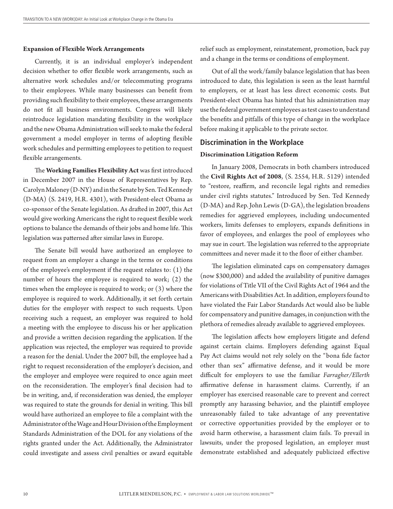#### **Expansion of Flexible Work Arrangements**

Currently, it is an individual employer's independent decision whether to offer flexible work arrangements, such as alternative work schedules and/or telecommuting programs to their employees. While many businesses can benefit from providing such flexibility to their employees, these arrangements do not fit all business environments. Congress will likely reintroduce legislation mandating flexibility in the workplace and the new Obama Administration will seek to make the federal government a model employer in terms of adopting flexible work schedules and permitting employees to petition to request flexible arrangements.

The **Working Families Flexibility Act** was first introduced in December 2007 in the House of Representatives by Rep. Carolyn Maloney (D-NY) and in the Senate by Sen. Ted Kennedy (D-MA) (S. 2419, H.R. 4301), with President-elect Obama as co-sponsor of the Senate legislation. As drafted in 2007, this Act would give working Americans the right to request flexible work options to balance the demands of their jobs and home life. This legislation was patterned after similar laws in Europe.

The Senate bill would have authorized an employee to request from an employer a change in the terms or conditions of the employee's employment if the request relates to: (1) the number of hours the employee is required to work; (2) the times when the employee is required to work; or (3) where the employee is required to work. Additionally, it set forth certain duties for the employer with respect to such requests. Upon receiving such a request, an employer was required to hold a meeting with the employee to discuss his or her application and provide a written decision regarding the application. If the application was rejected, the employer was required to provide a reason for the denial. Under the 2007 bill, the employee had a right to request reconsideration of the employer's decision, and the employer and employee were required to once again meet on the reconsideration. The employer's final decision had to be in writing, and, if reconsideration was denied, the employer was required to state the grounds for denial in writing. This bill would have authorized an employee to file a complaint with the Administrator of the Wage and Hour Division of the Employment Standards Administration of the DOL for any violations of the rights granted under the Act. Additionally, the Administrator could investigate and assess civil penalties or award equitable

relief such as employment, reinstatement, promotion, back pay and a change in the terms or conditions of employment.

Out of all the work/family balance legislation that has been introduced to date, this legislation is seen as the least harmful to employers, or at least has less direct economic costs. But President-elect Obama has hinted that his administration may use the federal government employees as test cases to understand the benefits and pitfalls of this type of change in the workplace before making it applicable to the private sector.

#### **Discrimination in the Workplace**

#### **Discrimination Litigation Reform**

In January 2008, Democrats in both chambers introduced the **Civil Rights Act of 2008**, (S. 2554, H.R. 5129) intended to "restore, reaffirm, and reconcile legal rights and remedies under civil rights statutes." Introduced by Sen. Ted Kennedy (D-MA) and Rep. John Lewis (D-GA), the legislation broadens remedies for aggrieved employees, including undocumented workers, limits defenses to employers, expands definitions in favor of employees, and enlarges the pool of employees who may sue in court. The legislation was referred to the appropriate committees and never made it to the floor of either chamber.

The legislation eliminated caps on compensatory damages (now \$300,000) and added the availability of punitive damages for violations of Title VII of the Civil Rights Act of 1964 and the Americans with Disabilities Act. In addition, employers found to have violated the Fair Labor Standards Act would also be liable for compensatory and punitive damages, in conjunction with the plethora of remedies already available to aggrieved employees.

The legislation affects how employers litigate and defend against certain claims. Employers defending against Equal Pay Act claims would not rely solely on the "bona fide factor other than sex" affirmative defense, and it would be more difficult for employers to use the familiar *Farragher/Ellerth* affirmative defense in harassment claims. Currently, if an employer has exercised reasonable care to prevent and correct promptly any harassing behavior, and the plaintiff employee unreasonably failed to take advantage of any preventative or corrective opportunities provided by the employer or to avoid harm otherwise, a harassment claim fails. To prevail in lawsuits, under the proposed legislation, an employer must demonstrate established and adequately publicized effective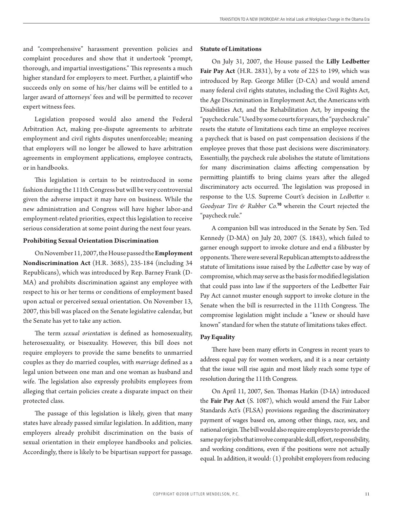and "comprehensive" harassment prevention policies and complaint procedures and show that it undertook "prompt, thorough, and impartial investigations." This represents a much higher standard for employers to meet. Further, a plaintiff who succeeds only on some of his/her claims will be entitled to a larger award of attorneys' fees and will be permitted to recover expert witness fees.

Legislation proposed would also amend the Federal Arbitration Act, making pre-dispute agreements to arbitrate employment and civil rights disputes unenforceable; meaning that employers will no longer be allowed to have arbitration agreements in employment applications, employee contracts, or in handbooks.

This legislation is certain to be reintroduced in some fashion during the 111th Congress but will be very controversial given the adverse impact it may have on business. While the new administration and Congress will have higher labor-and employment-related priorities, expect this legislation to receive serious consideration at some point during the next four years.

#### **Prohibiting Sexual Orientation Discrimination**

On November 11, 2007, the House passed the **Employment Nondiscrimination Act** (H.R. 3685), 235-184 (including 34 Republicans), which was introduced by Rep. Barney Frank (D-MA) and prohibits discrimination against any employee with respect to his or her terms or conditions of employment based upon actual or perceived sexual orientation. On November 13, 2007, this bill was placed on the Senate legislative calendar, but the Senate has yet to take any action.

The term *sexual orientation* is defined as homosexuality, heterosexuality, or bisexuality. However, this bill does not require employers to provide the same benefits to unmarried couples as they do married couples, with *marriage* defined as a legal union between one man and one woman as husband and wife. The legislation also expressly prohibits employees from alleging that certain policies create a disparate impact on their protected class.

The passage of this legislation is likely, given that many states have already passed similar legislation. In addition, many employers already prohibit discrimination on the basis of sexual orientation in their employee handbooks and policies. Accordingly, there is likely to be bipartisan support for passage.

#### **Statute of Limitations**

On July 31, 2007, the House passed the **Lilly Ledbetter Fair Pay Act** (H.R. 2831), by a vote of 225 to 199, which was introduced by Rep. George Miller (D-CA) and would amend many federal civil rights statutes, including the Civil Rights Act, the Age Discrimination in Employment Act, the Americans with Disabilities Act, and the Rehabilitation Act, by imposing the "paycheck rule." Used by some courts for years, the "paycheck rule" resets the statute of limitations each time an employee receives a paycheck that is based on past compensation decisions if the employee proves that those past decisions were discriminatory. Essentially, the paycheck rule abolishes the statute of limitations for many discrimination claims affecting compensation by permitting plaintiffs to bring claims years after the alleged discriminatory acts occurred. The legislation was proposed in response to the U.S. Supreme Court's decision in *Ledbetter v. Goodyear Tire & Rubber Co.*<sup>10</sup> wherein the Court rejected the "paycheck rule."

A companion bill was introduced in the Senate by Sen. Ted Kennedy (D-MA) on July 20, 2007 (S. 1843), which failed to garner enough support to invoke cloture and end a filibuster by opponents. There were several Republican attempts to address the statute of limitations issue raised by the *Ledbetter* case by way of compromise, which may serve as the basis for modified legislation that could pass into law if the supporters of the Ledbetter Fair Pay Act cannot muster enough support to invoke cloture in the Senate when the bill is resurrected in the 111th Congress. The compromise legislation might include a "knew or should have known" standard for when the statute of limitations takes effect.

#### **Pay Equality**

There have been many efforts in Congress in recent years to address equal pay for women workers, and it is a near certainty that the issue will rise again and most likely reach some type of resolution during the 111th Congress.

On April 11, 2007, Sen. Thomas Harkin (D-IA) introduced the **Fair Pay Act** (S. 1087), which would amend the Fair Labor Standards Act's (FLSA) provisions regarding the discriminatory payment of wages based on, among other things, race, sex, and national origin. The bill would also require employers to provide the same pay for jobs that involve comparable skill, effort, responsibility, and working conditions, even if the positions were not actually equal. In addition, it would: (1) prohibit employers from reducing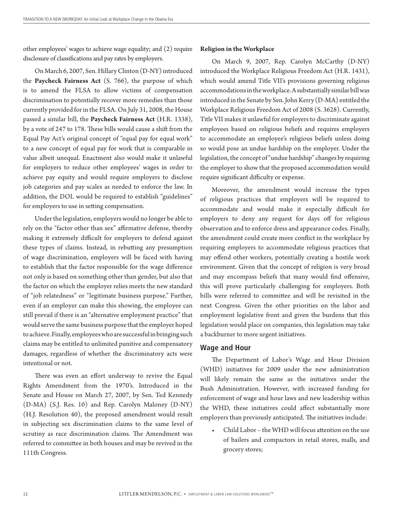other employees' wages to achieve wage equality; and (2) require disclosure of classifications and pay rates by employers.

On March 6, 2007, Sen. Hillary Clinton (D-NY) introduced the **Paycheck Fairness Act** (S. 766), the purpose of which is to amend the FLSA to allow victims of compensation discrimination to potentially recover more remedies than those currently provided for in the FLSA. On July 31, 2008, the House passed a similar bill, the **Paycheck Fairness Act** (H.R. 1338), by a vote of 247 to 178. These bills would cause a shift from the Equal Pay Act's original concept of "equal pay for equal work" to a new concept of equal pay for work that is comparable in value albeit unequal. Enactment also would make it unlawful for employers to reduce other employees' wages in order to achieve pay equity and would require employers to disclose job categories and pay scales as needed to enforce the law. In addition, the DOL would be required to establish "guidelines" for employers to use in setting compensation.

Under the legislation, employers would no longer be able to rely on the "factor other than sex" affirmative defense, thereby making it extremely difficult for employers to defend against these types of claims. Instead, in rebutting any presumption of wage discrimination, employers will be faced with having to establish that the factor responsible for the wage difference not only is based on something other than gender, but also that the factor on which the employer relies meets the new standard of "job relatedness" or "legitimate business purpose." Further, even if an employer can make this showing, the employee can still prevail if there is an "alternative employment practice" that would serve the same business purpose that the employer hoped to achieve. Finally, employees who are successful in bringing such claims may be entitled to unlimited punitive and compensatory damages, regardless of whether the discriminatory acts were intentional or not.

There was even an effort underway to revive the Equal Rights Amendment from the 1970's. Introduced in the Senate and House on March 27, 2007, by Sen. Ted Kennedy (D-MA) (S.J. Res. 10) and Rep. Carolyn Maloney (D-NY) (H.J. Resolution 40), the proposed amendment would result in subjecting sex discrimination claims to the same level of scrutiny as race discrimination claims. The Amendment was referred to committee in both houses and may be revived in the 111th Congress.

#### **Religion in the Workplace**

On March 9, 2007, Rep. Carolyn McCarthy (D-NY) introduced the Workplace Religious Freedom Act (H.R. 1431), which would amend Title VII's provisions governing religious accommodations in the workplace. A substantially similar bill was introduced in the Senate by Sen. John Kerry (D-MA) entitled the Workplace Religious Freedom Act of 2008 (S. 3628). Currently, Title VII makes it unlawful for employers to discriminate against employees based on religious beliefs and requires employers to accommodate an employee's religious beliefs unless doing so would pose an undue hardship on the employer. Under the legislation, the concept of "undue hardship" changes by requiring the employer to show that the proposed accommodation would require significant difficulty or expense.

Moreover, the amendment would increase the types of religious practices that employers will be required to accommodate and would make it especially difficult for employers to deny any request for days off for religious observation and to enforce dress and appearance codes. Finally, the amendment could create more conflict in the workplace by requiring employers to accommodate religious practices that may offend other workers, potentially creating a hostile work environment. Given that the concept of religion is very broad and may encompass beliefs that many would find offensive, this will prove particularly challenging for employers. Both bills were referred to committee and will be revisited in the next Congress. Given the other priorities on the labor and employment legislative front and given the burdens that this legislation would place on companies, this legislation may take a backburner to more urgent initiatives.

#### **Wage and Hour**

The Department of Labor's Wage and Hour Division (WHD) initiatives for 2009 under the new administration will likely remain the same as the initiatives under the Bush Administration. However, with increased funding for enforcement of wage and hour laws and new leadership within the WHD, these initiatives could affect substantially more employers than previously anticipated. The initiatives include:

Child Labor – the WHD will focus attention on the use of bailers and compactors in retail stores, malls, and grocery stores; •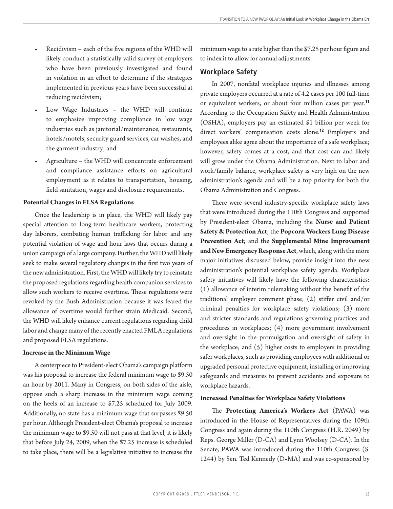- Recidivism each of the five regions of the WHD will likely conduct a statistically valid survey of employers who have been previously investigated and found in violation in an effort to determine if the strategies implemented in previous years have been successful at reducing recidivism; •
- Low Wage Industries the WHD will continue to emphasize improving compliance in low wage industries such as janitorial/maintenance, restaurants, hotels/motels, security guard services, car washes, and the garment industry; and •
- Agriculture the WHD will concentrate enforcement and compliance assistance efforts on agricultural employment as it relates to transportation, housing, field sanitation, wages and disclosure requirements. •

#### **Potential Changes in FLSA Regulations**

Once the leadership is in place, the WHD will likely pay special attention to long-term healthcare workers, protecting day laborers, combating human trafficking for labor and any potential violation of wage and hour laws that occurs during a union campaign of a large company. Further, the WHD will likely seek to make several regulatory changes in the first two years of the new administration. First, the WHD will likely try to reinstate the proposed regulations regarding health companion services to allow such workers to receive overtime. These regulations were revoked by the Bush Administration because it was feared the allowance of overtime would further strain Medicaid. Second, the WHD will likely enhance current regulations regarding child labor and change many of the recently enacted FMLA regulations and proposed FLSA regulations.

#### **Increase in the Minimum Wage**

A centerpiece to President-elect Obama's campaign platform was his proposal to increase the federal minimum wage to \$9.50 an hour by 2011. Many in Congress, on both sides of the aisle, oppose such a sharp increase in the minimum wage coming on the heels of an increase to \$7.25 scheduled for July 2009. Additionally, no state has a minimum wage that surpasses \$9.50 per hour. Although President-elect Obama's proposal to increase the minimum wage to \$9.50 will not pass at that level, it is likely that before July 24, 2009, when the \$7.25 increase is scheduled to take place, there will be a legislative initiative to increase the minimum wage to a rate higher than the \$7.25 per hour figure and to index it to allow for annual adjustments.

#### **Workplace Safety**

In 2007, nonfatal workplace injuries and illnesses among private employers occurred at a rate of 4.2 cases per 100 full-time or equivalent workers, or about four million cases per year.<sup>11</sup> According to the Occupation Safety and Health Administration (OSHA), employers pay an estimated \$1 billion per week for direct workers' compensation costs alone.<sup>12</sup> Employers and employees alike agree about the importance of a safe workplace; however, safety comes at a cost, and that cost can and likely will grow under the Obama Administration. Next to labor and work/family balance, workplace safety is very high on the new administration's agenda and will be a top priority for both the Obama Administration and Congress.

There were several industry-specific workplace safety laws that were introduced during the 110th Congress and supported by President-elect Obama, including the **Nurse and Patient Safety & Protection Act**; the **Popcorn Workers Lung Disease Prevention Act**; and the **Supplemental Mine Improvement and New Emergency Response Act**, which, along with the more major initiatives discussed below, provide insight into the new administration's potential workplace safety agenda. Workplace safety initiatives will likely have the following characteristics: (1) allowance of interim rulemaking without the benefit of the traditional employer comment phase; (2) stiffer civil and/or criminal penalties for workplace safety violations; (3) more and stricter standards and regulations governing practices and procedures in workplaces; (4) more government involvement and oversight in the promulgation and oversight of safety in the workplace; and (5) higher costs to employers in providing safer workplaces, such as providing employees with additional or upgraded personal protective equipment, installing or improving safeguards and measures to prevent accidents and exposure to workplace hazards.

#### **Increased Penalties for Workplace Safety Violations**

The **Protecting America's Workers Act** (PAWA) was introduced in the House of Representatives during the 109th Congress and again during the 110th Congress (H.R. 2049) by Reps. George Miller (D-CA) and Lynn Woolsey (D-CA). In the Senate, PAWA was introduced during the 110th Congress (S. 1244) by Sen. Ted Kennedy (D•MA) and was co-sponsored by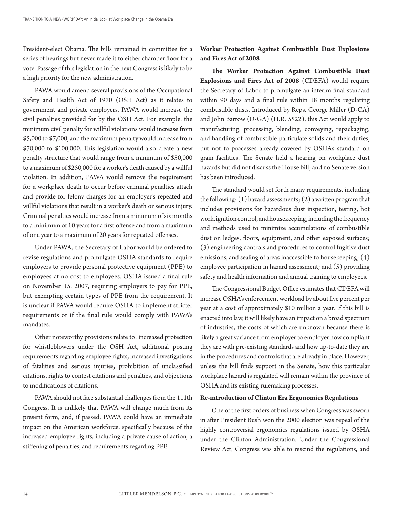President-elect Obama. The bills remained in committee for a series of hearings but never made it to either chamber floor for a vote. Passage of this legislation in the next Congress is likely to be a high priority for the new administration.

PAWA would amend several provisions of the Occupational Safety and Health Act of 1970 (OSH Act) as it relates to government and private employers. PAWA would increase the civil penalties provided for by the OSH Act. For example, the minimum civil penalty for willful violations would increase from \$5,000 to \$7,000, and the maximum penalty would increase from \$70,000 to \$100,000. This legislation would also create a new penalty structure that would range from a minimum of \$50,000 to a maximum of \$250,000 for a worker's death caused by a willful violation. In addition, PAWA would remove the requirement for a workplace death to occur before criminal penalties attach and provide for felony charges for an employer's repeated and willful violations that result in a worker's death or serious injury. Criminal penalties would increase from a minimum of six months to a minimum of 10 years for a first offense and from a maximum of one year to a maximum of 20 years for repeated offenses.

Under PAWA, the Secretary of Labor would be ordered to revise regulations and promulgate OSHA standards to require employers to provide personal protective equipment (PPE) to employees at no cost to employees. OSHA issued a final rule on November 15, 2007, requiring employers to pay for PPE, but exempting certain types of PPE from the requirement. It is unclear if PAWA would require OSHA to implement stricter requirements or if the final rule would comply with PAWA's mandates.

Other noteworthy provisions relate to: increased protection for whistleblowers under the OSH Act, additional posting requirements regarding employee rights, increased investigations of fatalities and serious injuries, prohibition of unclassified citations, rights to contest citations and penalties, and objections to modifications of citations.

PAWA should not face substantial challenges from the 111th Congress. It is unlikely that PAWA will change much from its present form, and, if passed, PAWA could have an immediate impact on the American workforce, specifically because of the increased employee rights, including a private cause of action, a stiffening of penalties, and requirements regarding PPE.

**Worker Protection Against Combustible Dust Explosions and Fires Act of 2008**

**The Worker Protection Against Combustible Dust Explosions and Fires Act of 2008** (CDEFA) would require the Secretary of Labor to promulgate an interim final standard within 90 days and a final rule within 18 months regulating combustible dusts. Introduced by Reps. George Miller (D-CA) and John Barrow (D-GA) (H.R. 5522), this Act would apply to manufacturing, processing, blending, conveying, repackaging, and handling of combustible particulate solids and their duties, but not to processes already covered by OSHA's standard on grain facilities. The Senate held a hearing on workplace dust hazards but did not discuss the House bill; and no Senate version has been introduced.

The standard would set forth many requirements, including the following:  $(1)$  hazard assessments;  $(2)$  a written program that includes provisions for hazardous dust inspection, testing, hot work, ignition control, and housekeeping, including the frequency and methods used to minimize accumulations of combustible dust on ledges, floors, equipment, and other exposed surfaces; (3) engineering controls and procedures to control fugitive dust emissions, and sealing of areas inaccessible to housekeeping; (4) employee participation in hazard assessment; and (5) providing safety and health information and annual training to employees.

The Congressional Budget Office estimates that CDEFA will increase OSHA's enforcement workload by about five percent per year at a cost of approximately \$10 million a year. If this bill is enacted into law, it will likely have an impact on a broad spectrum of industries, the costs of which are unknown because there is likely a great variance from employer to employer how compliant they are with pre-existing standards and how up-to-date they are in the procedures and controls that are already in place. However, unless the bill finds support in the Senate, how this particular workplace hazard is regulated will remain within the province of OSHA and its existing rulemaking processes.

#### **Re-introduction of Clinton Era Ergonomics Regulations**

One of the first orders of business when Congress was sworn in after President Bush won the 2000 election was repeal of the highly controversial ergonomics regulations issued by OSHA under the Clinton Administration. Under the Congressional Review Act, Congress was able to rescind the regulations, and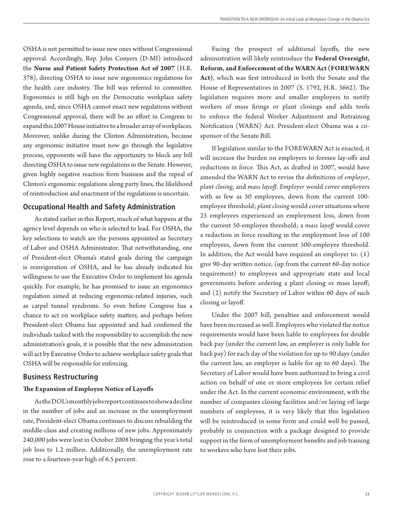OSHA is not permitted to issue new ones without Congressional approval. Accordingly, Rep. John Conyers (D-MI) introduced the **Nurse and Patient Safety Protection Act of 2007** (H.R. 378), directing OSHA to issue new ergonomics regulations for the health care industry. The bill was referred to committee. Ergonomics is still high on the Democratic workplace safety agenda, and, since OSHA cannot enact new regulations without Congressional approval, there will be an effort in Congress to expand this 2007 House initiative to a broader array of workplaces. Moreover, unlike during the Clinton Administration, because any ergonomic initiative must now go through the legislative process, opponents will have the opportunity to block any bill directing OSHA to issue new regulations in the Senate. However, given highly negative reaction from business and the repeal of Clinton's ergonomic regulations along party lines, the likelihood of reintroduction and enactment of the regulations is uncertain.

#### **Occupational Health and Safety Administration**

As stated earlier in this Report, much of what happens at the agency level depends on who is selected to lead. For OSHA, the key selections to watch are the persons appointed as Secretary of Labor and OSHA Administrator. That notwithstanding, one of President-elect Obama's stated goals during the campaign is reinvigoration of OSHA, and he has already indicated his willingness to use the Executive Order to implement his agenda quickly. For example, he has promised to issue an ergonomics regulation aimed at reducing ergonomic-related injuries, such as carpel tunnel syndrome. So even before Congress has a chance to act on workplace safety matters, and perhaps before President-elect Obama has appointed and had confirmed the individuals tasked with the responsibility to accomplish the new administration's goals, it is possible that the new administration will act by Executive Order to achieve workplace safety goals that OSHA will be responsible for enforcing.

#### **Business Restructuring**

#### **The Expansion of Employee Notice of Layoffs**

As the DOL's monthly jobs report continues to show a decline in the number of jobs and an increase in the unemployment rate, President-elect Obama continues to discuss rebuilding the middle-class and creating millions of new jobs. Approximately 240,000 jobs were lost in October 2008 bringing the year's total job loss to 1.2 million. Additionally, the unemployment rate rose to a fourteen-year high of 6.5 percent.

Facing the prospect of additional layoffs, the new administration will likely reintroduce the **Federal Oversight, Reform, and Enforcement of the WARN Act (FOREWARN Act)**, which was first introduced in both the Senate and the House of Representatives in 2007 (S. 1792, H.R. 3662). The legislation requires more and smaller employers to notify workers of mass firings or plant closings and adds tools to enforce the federal Worker Adjustment and Retraining Notification (WARN) Act. President-elect Obama was a cosponsor of the Senate Bill.

If legislation similar to the FOREWARN Act is enacted, it will increase the burden on employers to foresee lay-offs and reductions in force. This Act, as drafted in 2007, would have amended the WARN Act to revise the definitions of *employer*, *plant closing*, and *mass layoff*. *Employer* would cover employers with as few as 50 employees, down from the current 100 employee threshold; *plant closing* would cover situations where 25 employees experienced an employment loss, down from the current 50-employee threshold; a *mass layoff* would cover a reduction in force resulting in the employment loss of 100 employees, down from the current 500-employee threshold. In addition, the Act would have required an employer to: (1) give 90-day written notice, (up from the current 60-day notice requirement) to employees and appropriate state and local governments before ordering a plant closing or mass layoff; and (2) notify the Secretary of Labor within 60 days of such closing or layoff.

Under the 2007 bill, penalties and enforcement would have been increased as well. Employers who violated the notice requirements would have been liable to employees for double back pay (under the current law, an employer is only liable for back pay) for each day of the violation for up to 90 days (under the current law, an employer is liable for up to 60 days). The Secretary of Labor would have been authorized to bring a civil action on behalf of one or more employees for certain relief under the Act. In the current economic environment, with the number of companies closing facilities and/or laying off large numbers of employees, it is very likely that this legislation will be reintroduced in some form and could well be passed, probably in conjunction with a package designed to provide support in the form of unemployment benefits and job training to workers who have lost their jobs.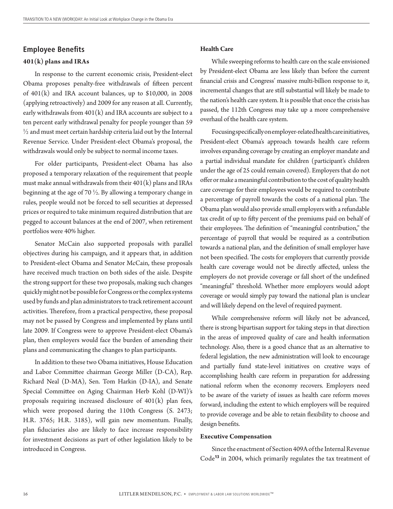### **Employee Benefits 401(k) plans and IRAs**

In response to the current economic crisis, President-elect Obama proposes penalty-free withdrawals of fifteen percent of 401(k) and IRA account balances, up to \$10,000, in 2008 (applying retroactively) and 2009 for any reason at all. Currently, early withdrawals from  $401(k)$  and IRA accounts are subject to a ten percent early withdrawal penalty for people younger than 59  $\frac{1}{2}$  and must meet certain hardship criteria laid out by the Internal Revenue Service. Under President-elect Obama's proposal, the withdrawals would only be subject to normal income taxes.

For older participants, President-elect Obama has also proposed a temporary relaxation of the requirement that people must make annual withdrawals from their  $401(k)$  plans and IRAs beginning at the age of 70  $\frac{1}{2}$ . By allowing a temporary change in rules, people would not be forced to sell securities at depressed prices or required to take minimum required distribution that are pegged to account balances at the end of 2007, when retirement portfolios were 40% higher.

Senator McCain also supported proposals with parallel objectives during his campaign, and it appears that, in addition to President-elect Obama and Senator McCain, these proposals have received much traction on both sides of the aisle. Despite the strong support for these two proposals, making such changes quickly might not be possible for Congress or the complex systems used by funds and plan administrators to track retirement account activities. Therefore, from a practical perspective, these proposal may not be passed by Congress and implemented by plans until late 2009. If Congress were to approve President-elect Obama's plan, then employers would face the burden of amending their plans and communicating the changes to plan participants.

In addition to these two Obama initiatives, House Education and Labor Committee chairman George Miller (D-CA), Rep. Richard Neal (D-MA), Sen. Tom Harkin (D-IA), and Senate Special Committee on Aging Chairman Herb Kohl (D-WI)'s proposals requiring increased disclosure of 401(k) plan fees, which were proposed during the 110th Congress (S. 2473; H.R. 3765; H.R. 3185), will gain new momentum. Finally, plan fiduciaries also are likely to face increase responsibility for investment decisions as part of other legislation likely to be introduced in Congress.

#### **Health Care**

While sweeping reforms to health care on the scale envisioned by President-elect Obama are less likely than before the current financial crisis and Congress' massive multi-billion response to it, incremental changes that are still substantial will likely be made to the nation's health care system. It is possible that once the crisis has passed, the 112th Congress may take up a more comprehensive overhaul of the health care system.

Focusing specifically on employer-related health care initiatives, President-elect Obama's approach towards health care reform involves expanding coverage by creating an employer mandate and a partial individual mandate for children (participant's children under the age of 25 could remain covered). Employers that do not offer or make a meaningful contribution to the cost of quality health care coverage for their employees would be required to contribute a percentage of payroll towards the costs of a national plan. The Obama plan would also provide small employers with a refundable tax credit of up to fifty percent of the premiums paid on behalf of their employees. The definition of "meaningful contribution," the percentage of payroll that would be required as a contribution towards a national plan, and the definition of small employer have not been specified. The costs for employers that currently provide health care coverage would not be directly affected, unless the employers do not provide coverage or fall short of the undefined "meaningful" threshold. Whether more employers would adopt coverage or would simply pay toward the national plan is unclear and will likely depend on the level of required payment.

While comprehensive reform will likely not be advanced, there is strong bipartisan support for taking steps in that direction in the areas of improved quality of care and health information technology. Also, there is a good chance that as an alternative to federal legislation, the new administration will look to encourage and partially fund state-level initiatives on creative ways of accomplishing health care reform in preparation for addressing national reform when the economy recovers. Employers need to be aware of the variety of issues as health care reform moves forward, including the extent to which employers will be required to provide coverage and be able to retain flexibility to choose and design benefits.

#### **Executive Compensation**

Since the enactment of Section 409A of the Internal Revenue Code<sup>13</sup> in 2004, which primarily regulates the tax treatment of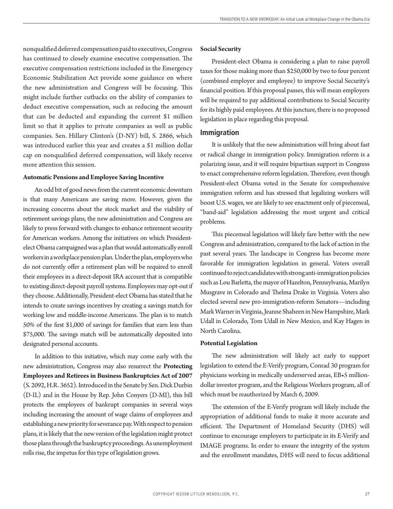nonqualified deferred compensation paid to executives, Congress has continued to closely examine executive compensation. The executive compensation restrictions included in the Emergency Economic Stabilization Act provide some guidance on where the new administration and Congress will be focusing. This might include further cutbacks on the ability of companies to deduct executive compensation, such as reducing the amount that can be deducted and expanding the current \$1 million limit so that it applies to private companies as well as public companies. Sen. Hillary Clinton's (D-NY) bill, S. 2866, which was introduced earlier this year and creates a \$1 million dollar cap on nonqualified deferred compensation, will likely receive more attention this session.

#### **Automatic Pensions and Employee Saving Incentive**

An odd bit of good news from the current economic downturn is that many Americans are saving more. However, given the increasing concerns about the stock market and the viability of retirement savings plans, the new administration and Congress are likely to press forward with changes to enhance retirement security for American workers. Among the initiatives on which Presidentelect Obama campaigned was a plan that would automatically enroll workers in a workplace pension plan. Under the plan, employers who do not currently offer a retirement plan will be required to enroll their employees in a direct-deposit IRA account that is compatible to existing direct-deposit payroll systems. Employees may opt-out if they choose. Additionally, President-elect Obama has stated that he intends to create savings incentives by creating a savings match for working low and middle-income Americans. The plan is to match 50% of the first \$1,000 of savings for families that earn less than \$75,000. The savings match will be automatically deposited into designated personal accounts.

In addition to this initiative, which may come early with the new administration, Congress may also resurrect the **Protecting Employees and Retirees in Business Bankruptcies Act of 2007**  (S. 2092, H.R. 3652). Introduced in the Senate by Sen. Dick Durbin (D-IL) and in the House by Rep. John Conyers (D-MI), this bill protects the employees of bankrupt companies in several ways including increasing the amount of wage claims of employees and establishing a new priority for severance pay. With respect to pension plans, it is likely that the new version of the legislation might protect those plans through the bankruptcy proceedings. As unemployment rolls rise, the impetus for this type of legislation grows.

#### **Social Security**

President-elect Obama is considering a plan to raise payroll taxes for those making more than \$250,000 by two to four percent (combined employer and employee) to improve Social Security's financial position. If this proposal passes, this will mean employers will be required to pay additional contributions to Social Security for its highly paid employees. At this juncture, there is no proposed legislation in place regarding this proposal.

#### **Immigration**

It is unlikely that the new administration will bring about fast or radical change in immigration policy. Immigration reform is a polarizing issue, and it will require bipartisan support in Congress to enact comprehensive reform legislation. Therefore, even though President-elect Obama voted in the Senate for comprehensive immigration reform and has stressed that legalizing workers will boost U.S. wages, we are likely to see enactment only of piecemeal, "band-aid" legislation addressing the most urgent and critical problems.

This piecemeal legislation will likely fare better with the new Congress and administration, compared to the lack of action in the past several years. The landscape in Congress has become more favorable for immigration legislation in general. Voters overall continued to reject candidates with strong anti-immigration policies such as Lou Barletta, the mayor of Hazelton, Pennsylvania, Marilyn Musgrave in Colorado and Thelma Drake in Virginia. Voters also elected several new pro-immigration-reform Senators—including Mark Warner in Virginia, Jeanne Shaheen in New Hampshire, Mark Udall in Colorado, Tom Udall in New Mexico, and Kay Hagen in North Carolina.

#### **Potential Legislation**

The new administration will likely act early to support legislation to extend the E-Verify program, Conrad 30 program for physicians working in medically underserved areas, EB•5 milliondollar investor program, and the Religious Workers program, all of which must be reauthorized by March 6, 2009.

The extension of the E-Verify program will likely include the appropriation of additional funds to make it more accurate and efficient. The Department of Homeland Security (DHS) will continue to encourage employers to participate in its E-Verify and IMAGE programs. In order to ensure the integrity of the system and the enrollment mandates, DHS will need to focus additional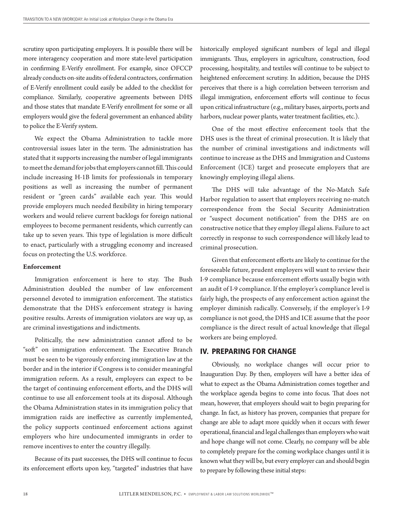scrutiny upon participating employers. It is possible there will be more interagency cooperation and more state-level participation in confirming E-Verify enrollment. For example, since OFCCP already conducts on-site audits of federal contractors, confirmation of E-Verify enrollment could easily be added to the checklist for compliance. Similarly, cooperative agreements between DHS and those states that mandate E-Verify enrollment for some or all employers would give the federal government an enhanced ability to police the E-Verify system.

We expect the Obama Administration to tackle more controversial issues later in the term. The administration has stated that it supports increasing the number of legal immigrants to meet the demand for jobs that employers cannot fill. This could include increasing H-1B limits for professionals in temporary positions as well as increasing the number of permanent resident or "green cards" available each year. This would provide employers much needed flexibility in hiring temporary workers and would relieve current backlogs for foreign national employees to become permanent residents, which currently can take up to seven years. This type of legislation is more difficult to enact, particularly with a struggling economy and increased focus on protecting the U.S. workforce.

#### **Enforcement**

Immigration enforcement is here to stay. The Bush Administration doubled the number of law enforcement personnel devoted to immigration enforcement. The statistics demonstrate that the DHS's enforcement strategy is having positive results. Arrests of immigration violators are way up, as are criminal investigations and indictments.

Politically, the new administration cannot afford to be "soft" on immigration enforcement. The Executive Branch must be seen to be vigorously enforcing immigration law at the border and in the interior if Congress is to consider meaningful immigration reform. As a result, employers can expect to be the target of continuing enforcement efforts, and the DHS will continue to use all enforcement tools at its disposal. Although the Obama Administration states in its immigration policy that immigration raids are ineffective as currently implemented, the policy supports continued enforcement actions against employers who hire undocumented immigrants in order to remove incentives to enter the country illegally.

Because of its past successes, the DHS will continue to focus its enforcement efforts upon key, "targeted" industries that have

historically employed significant numbers of legal and illegal immigrants. Thus, employers in agriculture, construction, food processing, hospitality, and textiles will continue to be subject to heightened enforcement scrutiny. In addition, because the DHS perceives that there is a high correlation between terrorism and illegal immigration, enforcement efforts will continue to focus upon critical infrastructure (e.g., military bases, airports, ports and harbors, nuclear power plants, water treatment facilities, etc.).

One of the most effective enforcement tools that the DHS uses is the threat of criminal prosecution. It is likely that the number of criminal investigations and indictments will continue to increase as the DHS and Immigration and Customs Enforcement (ICE) target and prosecute employers that are knowingly employing illegal aliens.

The DHS will take advantage of the No-Match Safe Harbor regulation to assert that employers receiving no-match correspondence from the Social Security Administration or "suspect document notification" from the DHS are on constructive notice that they employ illegal aliens. Failure to act correctly in response to such correspondence will likely lead to criminal prosecution.

Given that enforcement efforts are likely to continue for the foreseeable future, prudent employers will want to review their I-9 compliance because enforcement efforts usually begin with an audit of I-9 compliance. If the employer's compliance level is fairly high, the prospects of any enforcement action against the employer diminish radically. Conversely, if the employer's I-9 compliance is not good, the DHS and ICE assume that the poor compliance is the direct result of actual knowledge that illegal workers are being employed.

#### IV. PREPARING FOR CHANGE

Obviously, no workplace changes will occur prior to Inauguration Day. By then, employers will have a better idea of what to expect as the Obama Administration comes together and the workplace agenda begins to come into focus. That does not mean, however, that employers should wait to begin preparing for change. In fact, as history has proven, companies that prepare for change are able to adapt more quickly when it occurs with fewer operational, financial and legal challenges than employers who wait and hope change will not come. Clearly, no company will be able to completely prepare for the coming workplace changes until it is known what they will be, but every employer can and should begin to prepare by following these initial steps: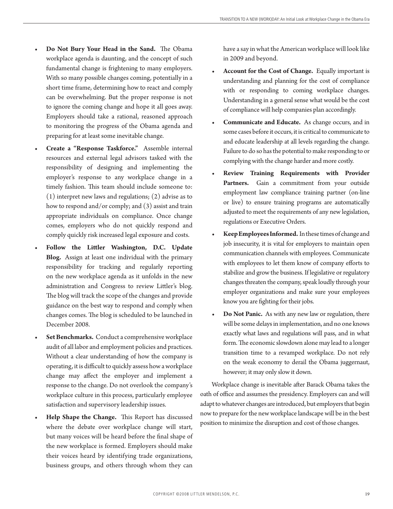- **Do Not Bury Your Head in the Sand.** The Obama workplace agenda is daunting, and the concept of such fundamental change is frightening to many employers. With so many possible changes coming, potentially in a short time frame, determining how to react and comply can be overwhelming. But the proper response is not to ignore the coming change and hope it all goes away. Employers should take a rational, reasoned approach to monitoring the progress of the Obama agenda and preparing for at least some inevitable change. **•**
- **Create a "Response Taskforce."** Assemble internal resources and external legal advisors tasked with the responsibility of designing and implementing the employer's response to any workplace change in a timely fashion. This team should include someone to: (1) interpret new laws and regulations; (2) advise as to how to respond and/or comply; and (3) assist and train appropriate individuals on compliance. Once change comes, employers who do not quickly respond and comply quickly risk increased legal exposure and costs. **•**
- **Follow the Littler Washington, D.C. Update Blog.** Assign at least one individual with the primary responsibility for tracking and regularly reporting on the new workplace agenda as it unfolds in the new administration and Congress to review Littler's blog. The blog will track the scope of the changes and provide guidance on the best way to respond and comply when changes comes. The blog is scheduled to be launched in December 2008. **•**
- **Set Benchmarks.** Conduct a comprehensive workplace audit of all labor and employment policies and practices. Without a clear understanding of how the company is operating, it is difficult to quickly assess how a workplace change may affect the employer and implement a response to the change. Do not overlook the company's workplace culture in this process, particularly employee satisfaction and supervisory leadership issues. **•**
- **Help Shape the Change.** This Report has discussed where the debate over workplace change will start, but many voices will be heard before the final shape of the new workplace is formed. Employers should make their voices heard by identifying trade organizations, business groups, and others through whom they can **•**

have a say in what the American workplace will look like in 2009 and beyond.

- **Account for the Cost of Change.** Equally important is understanding and planning for the cost of compliance with or responding to coming workplace changes. Understanding in a general sense what would be the cost of compliance will help companies plan accordingly. **•**
- **Communicate and Educate.** As change occurs, and in some cases before it occurs, it is critical to communicate to and educate leadership at all levels regarding the change. Failure to do so has the potential to make responding to or complying with the change harder and more costly. **•**
- **Review Training Requirements with Provider**  Partners. Gain a commitment from your outside employment law compliance training partner (on-line or live) to ensure training programs are automatically adjusted to meet the requirements of any new legislation, regulations or Executive Orders. **•**
- **Keep Employees Informed.** In these times of change and job insecurity, it is vital for employers to maintain open communication channels with employees. Communicate with employees to let them know of company efforts to stabilize and grow the business. If legislative or regulatory changes threaten the company, speak loudly through your employer organizations and make sure your employees know you are fighting for their jobs. **•**
- **Do Not Panic.** As with any new law or regulation, there will be some delays in implementation, and no one knows exactly what laws and regulations will pass, and in what form. The economic slowdown alone may lead to a longer transition time to a revamped workplace. Do not rely on the weak economy to derail the Obama juggernaut, however; it may only slow it down. **•**

Workplace change is inevitable after Barack Obama takes the oath of office and assumes the presidency. Employers can and will adapt to whatever changes are introduced, but employers that begin now to prepare for the new workplace landscape will be in the best position to minimize the disruption and cost of those changes.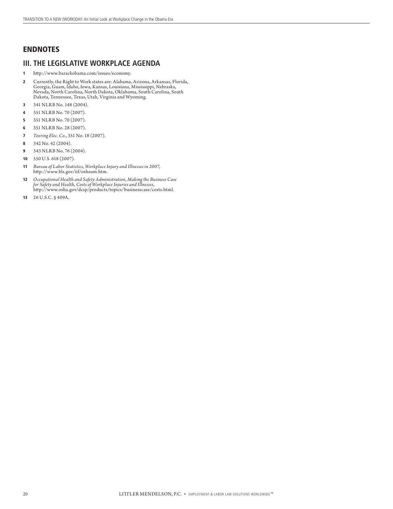#### ENDNOTES

#### **III. THE LEGISLATIVE WORKPLACE AGENDA**

- 1 http://www.barackobama.com/issues/economy.
- 2 Currently, the Right to Work states are: Alabama, Arizona, Arkansas, Florida, Georgia, Guam, Idaho, Iowa, Kansas, Louisiana, Mississippi, Nebraska, Nevada, North Carolina, North Dakota, Oklahoma, South Carolina, South Dakota, Tennessee, Texas, Utah, Virginia and Wyoming.
- 3 341 NLRB No. 148 (2004).
- 4 351 NLRB No. 70 (2007).
- 5 351 NLRB No. 70 (2007).
- 6 351 NLRB No. 28 (2007).
- 7 *Toering Elec. Co.*, 351 No. 18 (2007).
- 8 342 No. 42 (2004).
- 9 343 NLRB No. 76 (2004).
- 10 550 U.S. 618 (2007).
- 11 *Bureau of Labor Statistics, Workplace Injury and Illnesses in 2007*, http://www.bls.gov/iif/oshsum.htm.
- 12 *Occupational Health and Safety Administration, Making the Business Case for Safety and Health, Costs of Workplace Injuries and Illnesses*, http://www.osha.gov/dcsp/products/topics/businesscase/costs.html.
- 13 26 U.S.C. § 409A.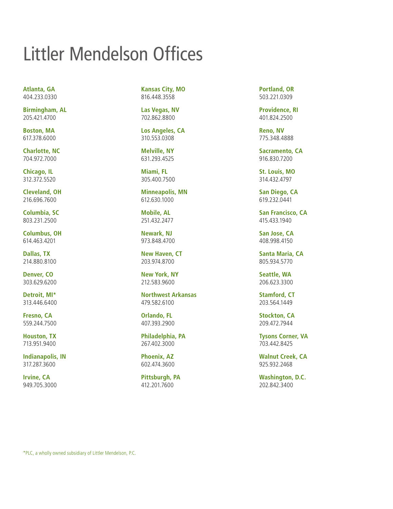# Littler Mendelson Offices

**Atlanta, GA**  404.233.0330

**Birmingham, AL**  205.421.4700

**Boston, MA**  617.378.6000

**Charlotte, NC**  704.972.7000

**Chicago, IL**  312.372.5520

**Cleveland, OH**  216.696.7600

**Columbia, SC**  803.231.2500

**Columbus, OH**  614.463.4201

**Dallas, TX**  214.880.8100

**Denver, CO**  303.629.6200

**Detroit, MI\***  313.446.6400

**Fresno, CA**  559.244.7500

**Houston, TX**  713.951.9400

**Indianapolis, IN**  317.287.3600

**Irvine, CA**  949.705.3000

**Kansas City, MO**  816.448.3558

**Las Vegas, NV**  702.862.8800

**Los Angeles, CA**  310.553.0308

**Melville, NY**  631.293.4525

**Miami, FL**  305.400.7500

**Minneapolis, MN**  612.630.1000

**Mobile, AL**  251.432.2477

**Newark, NJ**  973.848.4700

**New Haven, CT**  203.974.8700

**New York, NY**  212.583.9600

**Northwest Arkansas**  479.582.6100

**Orlando, FL**  407.393.2900

**Philadelphia, PA**  267.402.3000

**Phoenix, AZ** 602.474.3600

**Pittsburgh, PA**  412.201.7600

**Portland, OR**  503.221.0309

**Providence, RI**  401.824.2500

**Reno, NV**  775.348.4888

**Sacramento, CA**  916.830.7200

**St. Louis, MO**  314.432.4797

**San Diego, CA**  619.232.0441

**San Francisco, CA**  415.433.1940

**San Jose, CA**  408.998.4150

**Santa Maria, CA**  805.934.5770

**Seattle, WA**  206.623.3300

**Stamford, CT** 203.564.1449

**Stockton, CA**  209.472.7944

**Tysons Corner, VA**  703.442.8425

**Walnut Creek, CA**  925.932.2468

**Washington, D.C.**  202.842.3400